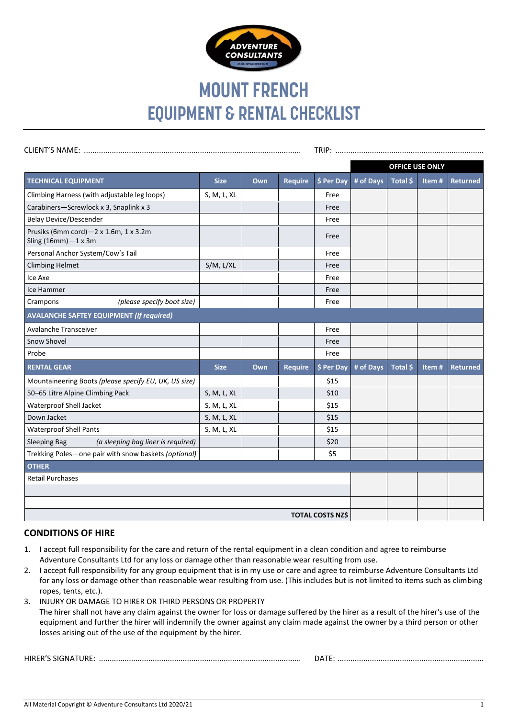

# **MOUNT FRENCH EQUIPMENT & RENTAL CHECKLIST**

|                                                                     |             |     |                |            | <b>OFFICE USE ONLY</b> |          |       |                 |
|---------------------------------------------------------------------|-------------|-----|----------------|------------|------------------------|----------|-------|-----------------|
| <b>TECHNICAL EQUIPMENT</b>                                          | <b>Size</b> | Own | <b>Require</b> | \$ Per Day | # of Days              | Total \$ | Item# | <b>Returned</b> |
| Climbing Harness (with adjustable leg loops)                        | S, M, L, XL |     |                | Free       |                        |          |       |                 |
| Carabiners-Screwlock x 3, Snaplink x 3                              |             |     |                | Free       |                        |          |       |                 |
| <b>Belay Device/Descender</b>                                       |             |     |                | Free       |                        |          |       |                 |
| Prusiks (6mm cord)-2 x 1.6m, 1 x 3.2m<br>Sling $(16mm)-1 \times 3m$ |             |     |                | Free       |                        |          |       |                 |
| Personal Anchor System/Cow's Tail                                   |             |     |                | Free       |                        |          |       |                 |
| <b>Climbing Helmet</b>                                              | S/M, L/XL   |     |                | Free       |                        |          |       |                 |
| Ice Axe                                                             |             |     |                | Free       |                        |          |       |                 |
| Ice Hammer                                                          |             |     |                | Free       |                        |          |       |                 |
| (please specify boot size)<br>Crampons                              |             |     |                | Free       |                        |          |       |                 |
| <b>AVALANCHE SAFTEY EQUIPMENT (If required)</b>                     |             |     |                |            |                        |          |       |                 |
| Avalanche Transceiver                                               |             |     |                | Free       |                        |          |       |                 |
| Snow Shovel                                                         |             |     |                | Free       |                        |          |       |                 |
| Probe                                                               |             |     |                | Free       |                        |          |       |                 |
| <b>RENTAL GEAR</b>                                                  | <b>Size</b> | Own | <b>Require</b> | \$ Per Day | # of Days              | Total \$ | Item# | <b>Returned</b> |
| Mountaineering Boots (please specify EU, UK, US size)               |             |     |                | \$15       |                        |          |       |                 |
| 50-65 Litre Alpine Climbing Pack                                    | S, M, L, XL |     |                | \$10       |                        |          |       |                 |
| Waterproof Shell Jacket                                             | S, M, L, XL |     |                | \$15       |                        |          |       |                 |
| Down Jacket                                                         | S, M, L, XL |     |                | \$15       |                        |          |       |                 |
| <b>Waterproof Shell Pants</b>                                       | S, M, L, XL |     |                | \$15       |                        |          |       |                 |
| (a sleeping bag liner is required)<br><b>Sleeping Bag</b>           |             |     |                | \$20       |                        |          |       |                 |
| Trekking Poles-one pair with snow baskets (optional)                |             |     |                | \$5        |                        |          |       |                 |
| <b>OTHER</b>                                                        |             |     |                |            |                        |          |       |                 |
| <b>Retail Purchases</b>                                             |             |     |                |            |                        |          |       |                 |
|                                                                     |             |     |                |            |                        |          |       |                 |
|                                                                     |             |     |                |            |                        |          |       |                 |
| <b>TOTAL COSTS NZ\$</b>                                             |             |     |                |            |                        |          |       |                 |

## **CONDITIONS OF HIRE**

- 1. I accept full responsibility for the care and return of the rental equipment in a clean condition and agree to reimburse Adventure Consultants Ltd for any loss or damage other than reasonable wear resulting from use.
- 2. I accept full responsibility for any group equipment that is in my use or care and agree to reimburse Adventure Consultants Ltd for any loss or damage other than reasonable wear resulting from use. (This includes but is not limited to items such as climbing ropes, tents, etc.).
- 3. INJURY OR DAMAGE TO HIRER OR THIRD PERSONS OR PROPERTY The hirer shall not have any claim against the owner for loss or damage suffered by the hirer as a result of the hirer's use of the equipment and further the hirer will indemnify the owner against any claim made against the owner by a third person or other losses arising out of the use of the equipment by the hirer.

HIRER'S SIGNATURE: .............................................................................................. DATE: ....................................................................